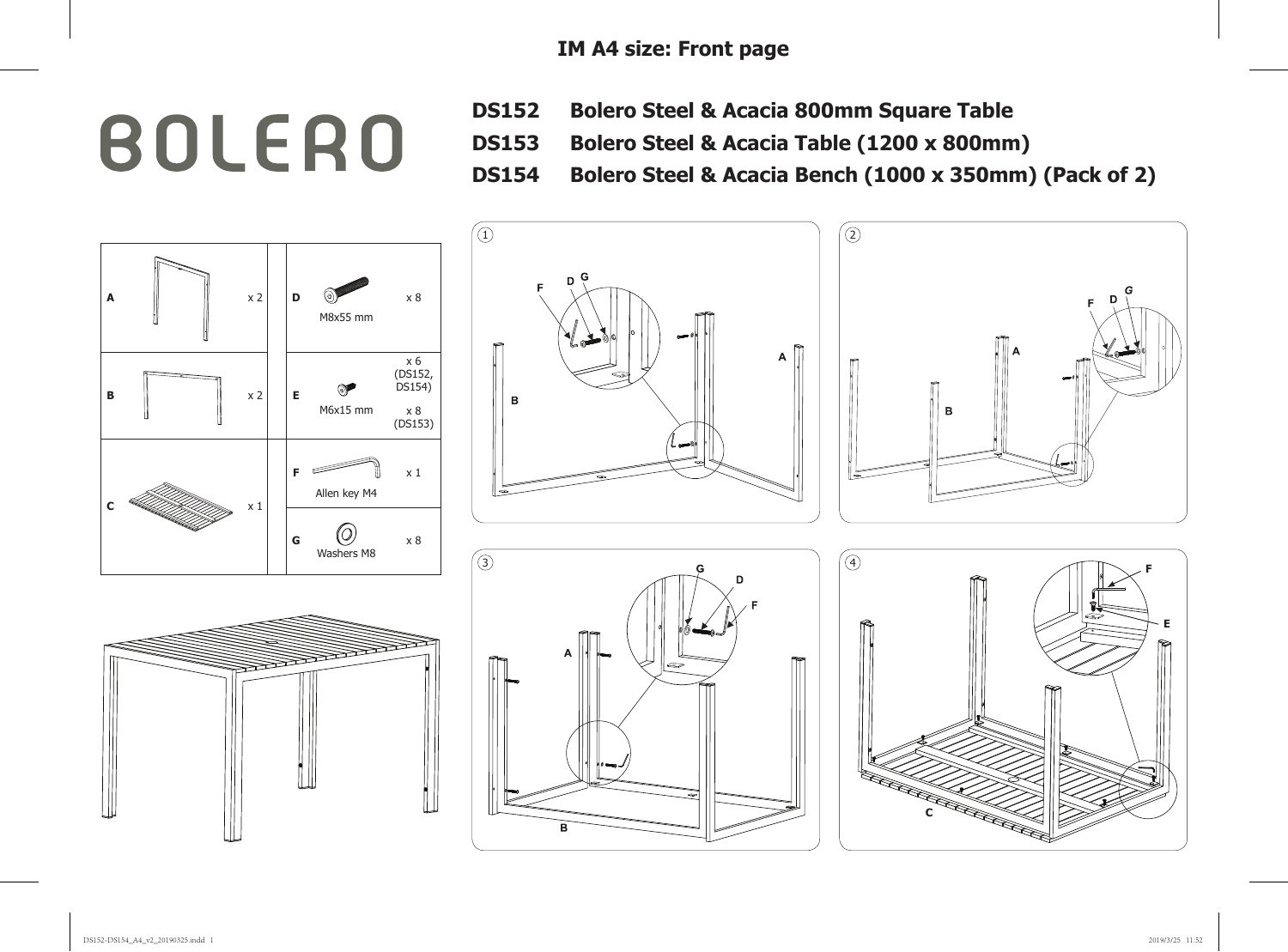## **BOLERO**

- **DS152 Bolero Steel & Acacia 800mm Square Table**
- **DS153 Bolero Steel & Acacia Table (1200 x 800mm)**
- **DS154 Bolero Steel & Acacia Bench (1000 x 350mm) (Pack of 2)**